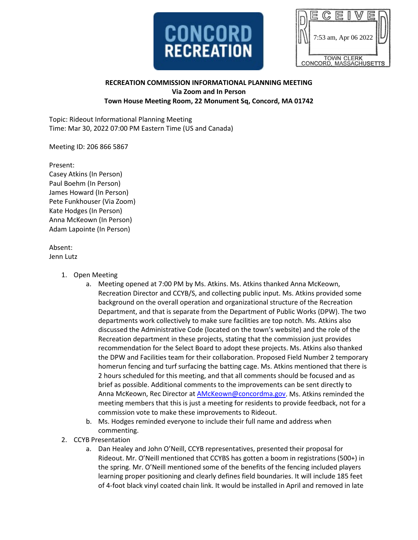

|                        | 7:53 am, Apr 06 2022 |  |  |  |  |  |  |
|------------------------|----------------------|--|--|--|--|--|--|
|                        |                      |  |  |  |  |  |  |
|                        |                      |  |  |  |  |  |  |
| <b>TOWN CLERK</b>      |                      |  |  |  |  |  |  |
| CONCORD, MASSACHUSETTS |                      |  |  |  |  |  |  |

## **RECREATION COMMISSION INFORMATIONAL PLANNING MEETING Via Zoom and In Person Town House Meeting Room, 22 Monument Sq, Concord, MA 01742**

Topic: Rideout Informational Planning Meeting Time: Mar 30, 2022 07:00 PM Eastern Time (US and Canada)

Meeting ID: 206 866 5867

Present: Casey Atkins (In Person) Paul Boehm (In Person) James Howard (In Person) Pete Funkhouser (Via Zoom) Kate Hodges (In Person) Anna McKeown (In Person) Adam Lapointe (In Person)

Absent: Jenn Lutz

- 1. Open Meeting
	- a. Meeting opened at 7:00 PM by Ms. Atkins. Ms. Atkins thanked Anna McKeown, Recreation Director and CCYB/S, and collecting public input. Ms. Atkins provided some background on the overall operation and organizational structure of the Recreation Department, and that is separate from the Department of Public Works (DPW). The two departments work collectively to make sure facilities are top notch. Ms. Atkins also discussed the Administrative Code (located on the town's website) and the role of the Recreation department in these projects, stating that the commission just provides recommendation for the Select Board to adopt these projects. Ms. Atkins also thanked the DPW and Facilities team for their collaboration. Proposed Field Number 2 temporary homerun fencing and turf surfacing the batting cage. Ms. Atkins mentioned that there is 2 hours scheduled for this meeting, and that all comments should be focused and as brief as possible. Additional comments to the improvements can be sent directly to Anna McKeown, Rec Director a[t AMcKeown@concordma.gov.](mailto:AMcKeown@concordma.gov) Ms. Atkins reminded the meeting members that this is just a meeting for residents to provide feedback, not for a commission vote to make these improvements to Rideout.
	- b. Ms. Hodges reminded everyone to include their full name and address when commenting.
- 2. CCYB Presentation
	- a. Dan Healey and John O'Neill, CCYB representatives, presented their proposal for Rideout. Mr. O'Neill mentioned that CCYBS has gotten a boom in registrations (500+) in the spring. Mr. O'Neill mentioned some of the benefits of the fencing included players learning proper positioning and clearly defines field boundaries. It will include 185 feet of 4-foot black vinyl coated chain link. It would be installed in April and removed in late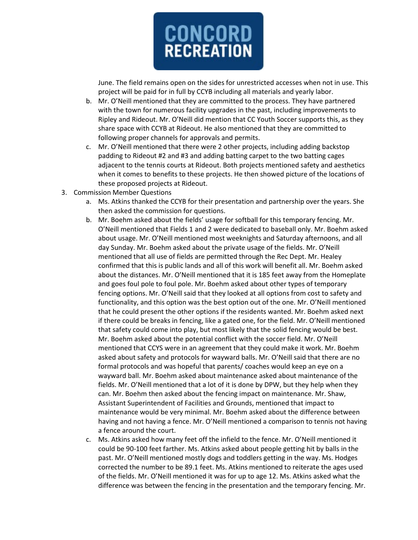

June. The field remains open on the sides for unrestricted accesses when not in use. This project will be paid for in full by CCYB including all materials and yearly labor.

- b. Mr. O'Neill mentioned that they are committed to the process. They have partnered with the town for numerous facility upgrades in the past, including improvements to Ripley and Rideout. Mr. O'Neill did mention that CC Youth Soccer supports this, as they share space with CCYB at Rideout. He also mentioned that they are committed to following proper channels for approvals and permits.
- c. Mr. O'Neill mentioned that there were 2 other projects, including adding backstop padding to Rideout #2 and #3 and adding batting carpet to the two batting cages adjacent to the tennis courts at Rideout. Both projects mentioned safety and aesthetics when it comes to benefits to these projects. He then showed picture of the locations of these proposed projects at Rideout.
- 3. Commission Member Questions
	- a. Ms. Atkins thanked the CCYB for their presentation and partnership over the years. She then asked the commission for questions.
	- b. Mr. Boehm asked about the fields' usage for softball for this temporary fencing. Mr. O'Neill mentioned that Fields 1 and 2 were dedicated to baseball only. Mr. Boehm asked about usage. Mr. O'Neill mentioned most weeknights and Saturday afternoons, and all day Sunday. Mr. Boehm asked about the private usage of the fields. Mr. O'Neill mentioned that all use of fields are permitted through the Rec Dept. Mr. Healey confirmed that this is public lands and all of this work will benefit all. Mr. Boehm asked about the distances. Mr. O'Neill mentioned that it is 185 feet away from the Homeplate and goes foul pole to foul pole. Mr. Boehm asked about other types of temporary fencing options. Mr. O'Neill said that they looked at all options from cost to safety and functionality, and this option was the best option out of the one. Mr. O'Neill mentioned that he could present the other options if the residents wanted. Mr. Boehm asked next if there could be breaks in fencing, like a gated one, for the field. Mr. O'Neill mentioned that safety could come into play, but most likely that the solid fencing would be best. Mr. Boehm asked about the potential conflict with the soccer field. Mr. O'Neill mentioned that CCYS were in an agreement that they could make it work. Mr. Boehm asked about safety and protocols for wayward balls. Mr. O'Neill said that there are no formal protocols and was hopeful that parents/ coaches would keep an eye on a wayward ball. Mr. Boehm asked about maintenance asked about maintenance of the fields. Mr. O'Neill mentioned that a lot of it is done by DPW, but they help when they can. Mr. Boehm then asked about the fencing impact on maintenance. Mr. Shaw, Assistant Superintendent of Facilities and Grounds, mentioned that impact to maintenance would be very minimal. Mr. Boehm asked about the difference between having and not having a fence. Mr. O'Neill mentioned a comparison to tennis not having a fence around the court.
	- c. Ms. Atkins asked how many feet off the infield to the fence. Mr. O'Neill mentioned it could be 90-100 feet farther. Ms. Atkins asked about people getting hit by balls in the past. Mr. O'Neill mentioned mostly dogs and toddlers getting in the way. Ms. Hodges corrected the number to be 89.1 feet. Ms. Atkins mentioned to reiterate the ages used of the fields. Mr. O'Neill mentioned it was for up to age 12. Ms. Atkins asked what the difference was between the fencing in the presentation and the temporary fencing. Mr.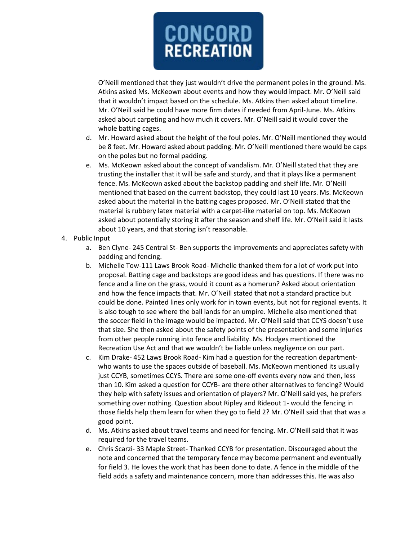

O'Neill mentioned that they just wouldn't drive the permanent poles in the ground. Ms. Atkins asked Ms. McKeown about events and how they would impact. Mr. O'Neill said that it wouldn't impact based on the schedule. Ms. Atkins then asked about timeline. Mr. O'Neill said he could have more firm dates if needed from April-June. Ms. Atkins asked about carpeting and how much it covers. Mr. O'Neill said it would cover the whole batting cages.

- d. Mr. Howard asked about the height of the foul poles. Mr. O'Neill mentioned they would be 8 feet. Mr. Howard asked about padding. Mr. O'Neill mentioned there would be caps on the poles but no formal padding.
- e. Ms. McKeown asked about the concept of vandalism. Mr. O'Neill stated that they are trusting the installer that it will be safe and sturdy, and that it plays like a permanent fence. Ms. McKeown asked about the backstop padding and shelf life. Mr. O'Neill mentioned that based on the current backstop, they could last 10 years. Ms. McKeown asked about the material in the batting cages proposed. Mr. O'Neill stated that the material is rubbery latex material with a carpet-like material on top. Ms. McKeown asked about potentially storing it after the season and shelf life. Mr. O'Neill said it lasts about 10 years, and that storing isn't reasonable.
- 4. Public Input
	- a. Ben Clyne- 245 Central St- Ben supports the improvements and appreciates safety with padding and fencing.
	- b. Michelle Tow-111 Laws Brook Road- Michelle thanked them for a lot of work put into proposal. Batting cage and backstops are good ideas and has questions. If there was no fence and a line on the grass, would it count as a homerun? Asked about orientation and how the fence impacts that. Mr. O'Neill stated that not a standard practice but could be done. Painted lines only work for in town events, but not for regional events. It is also tough to see where the ball lands for an umpire. Michelle also mentioned that the soccer field in the image would be impacted. Mr. O'Neill said that CCYS doesn't use that size. She then asked about the safety points of the presentation and some injuries from other people running into fence and liability. Ms. Hodges mentioned the Recreation Use Act and that we wouldn't be liable unless negligence on our part.
	- c. Kim Drake- 452 Laws Brook Road- Kim had a question for the recreation departmentwho wants to use the spaces outside of baseball. Ms. McKeown mentioned its usually just CCYB, sometimes CCYS. There are some one-off events every now and then, less than 10. Kim asked a question for CCYB- are there other alternatives to fencing? Would they help with safety issues and orientation of players? Mr. O'Neill said yes, he prefers something over nothing. Question about Ripley and Rideout 1- would the fencing in those fields help them learn for when they go to field 2? Mr. O'Neill said that that was a good point.
	- d. Ms. Atkins asked about travel teams and need for fencing. Mr. O'Neill said that it was required for the travel teams.
	- e. Chris Scarzi- 33 Maple Street- Thanked CCYB for presentation. Discouraged about the note and concerned that the temporary fence may become permanent and eventually for field 3. He loves the work that has been done to date. A fence in the middle of the field adds a safety and maintenance concern, more than addresses this. He was also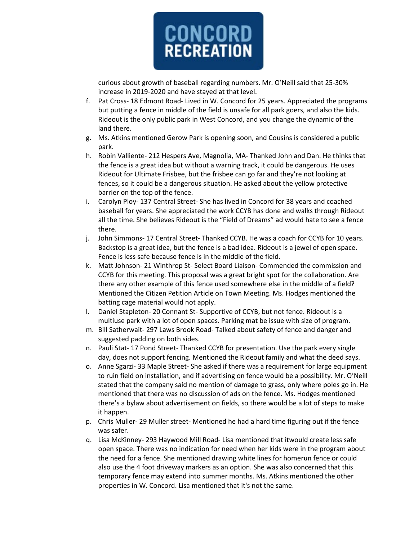

curious about growth of baseball regarding numbers. Mr. O'Neill said that 25-30% increase in 2019-2020 and have stayed at that level.

- f. Pat Cross- 18 Edmont Road- Lived in W. Concord for 25 years. Appreciated the programs but putting a fence in middle of the field is unsafe for all park goers, and also the kids. Rideout is the only public park in West Concord, and you change the dynamic of the land there.
- g. Ms. Atkins mentioned Gerow Park is opening soon, and Cousins is considered a public park.
- h. Robin Valliente- 212 Hespers Ave, Magnolia, MA- Thanked John and Dan. He thinks that the fence is a great idea but without a warning track, it could be dangerous. He uses Rideout for Ultimate Frisbee, but the frisbee can go far and they're not looking at fences, so it could be a dangerous situation. He asked about the yellow protective barrier on the top of the fence.
- i. Carolyn Ploy- 137 Central Street- She has lived in Concord for 38 years and coached baseball for years. She appreciated the work CCYB has done and walks through Rideout all the time. She believes Rideout is the "Field of Dreams" ad would hate to see a fence there.
- j. John Simmons- 17 Central Street- Thanked CCYB. He was a coach for CCYB for 10 years. Backstop is a great idea, but the fence is a bad idea. Rideout is a jewel of open space. Fence is less safe because fence is in the middle of the field.
- k. Matt Johnson- 21 Winthrop St- Select Board Liaison- Commended the commission and CCYB for this meeting. This proposal was a great bright spot for the collaboration. Are there any other example of this fence used somewhere else in the middle of a field? Mentioned the Citizen Petition Article on Town Meeting. Ms. Hodges mentioned the batting cage material would not apply.
- l. Daniel Stapleton- 20 Connant St- Supportive of CCYB, but not fence. Rideout is a multiuse park with a lot of open spaces. Parking mat be issue with size of program.
- m. Bill Satherwait- 297 Laws Brook Road- Talked about safety of fence and danger and suggested padding on both sides.
- n. Pauli Stat- 17 Pond Street- Thanked CCYB for presentation. Use the park every single day, does not support fencing. Mentioned the Rideout family and what the deed says.
- o. Anne Sgarzi- 33 Maple Street- She asked if there was a requirement for large equipment to ruin field on installation, and if advertising on fence would be a possibility. Mr. O'Neill stated that the company said no mention of damage to grass, only where poles go in. He mentioned that there was no discussion of ads on the fence. Ms. Hodges mentioned there's a bylaw about advertisement on fields, so there would be a lot of steps to make it happen.
- p. Chris Muller- 29 Muller street- Mentioned he had a hard time figuring out if the fence was safer.
- q. Lisa McKinney- 293 Haywood Mill Road- Lisa mentioned that itwould create less safe open space. There was no indication for need when her kids were in the program about the need for a fence. She mentioned drawing white lines for homerun fence or could also use the 4 foot driveway markers as an option. She was also concerned that this temporary fence may extend into summer months. Ms. Atkins mentioned the other properties in W. Concord. Lisa mentioned that it's not the same.